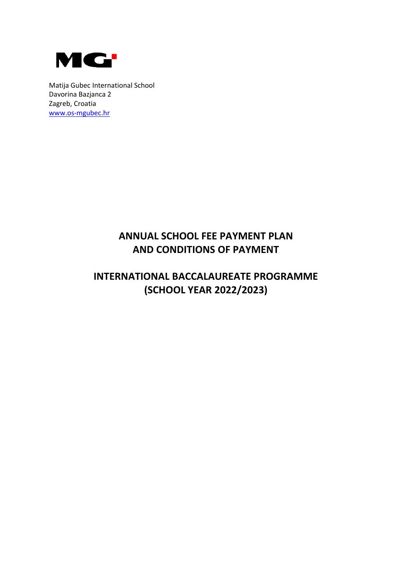

Matija Gubec International School Davorina Bazjanca 2 Zagreb, Croatia [www.os-mgubec.hr](http://www.os-mgubec.hr/)

# **ANNUAL SCHOOL FEE PAYMENT PLAN AND CONDITIONS OF PAYMENT**

# **INTERNATIONAL BACCALAUREATE PROGRAMME (SCHOOL YEAR 2022/2023)**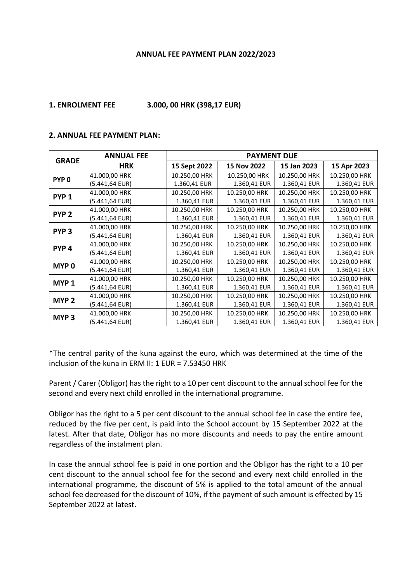#### **ANNUAL FEE PAYMENT PLAN 2022/2023**

#### **1. ENROLMENT FEE 3.000, 00 HRK (398,17 EUR)**

#### **2. ANNUAL FEE PAYMENT PLAN:**

| <b>GRADE</b>     | <b>ANNUAL FEE</b> | <b>PAYMENT DUE</b> |               |               |               |
|------------------|-------------------|--------------------|---------------|---------------|---------------|
|                  | <b>HRK</b>        | 15 Sept 2022       | 15 Nov 2022   | 15 Jan 2023   | 15 Apr 2023   |
| PYP <sub>0</sub> | 41.000,00 HRK     | 10.250,00 HRK      | 10.250,00 HRK | 10.250,00 HRK | 10.250,00 HRK |
|                  | (5.441,64 EUR)    | 1.360,41 EUR       | 1.360,41 EUR  | 1.360,41 EUR  | 1.360,41 EUR  |
| PYP <sub>1</sub> | 41.000,00 HRK     | 10.250,00 HRK      | 10.250,00 HRK | 10.250,00 HRK | 10.250,00 HRK |
|                  | (5.441,64 EUR)    | 1.360,41 EUR       | 1.360,41 EUR  | 1.360,41 EUR  | 1.360,41 EUR  |
| PYP <sub>2</sub> | 41.000,00 HRK     | 10.250,00 HRK      | 10.250,00 HRK | 10.250,00 HRK | 10.250,00 HRK |
|                  | (5.441,64 EUR)    | 1.360,41 EUR       | 1.360,41 EUR  | 1.360,41 EUR  | 1.360,41 EUR  |
| PYP <sub>3</sub> | 41.000,00 HRK     | 10.250,00 HRK      | 10.250,00 HRK | 10.250,00 HRK | 10.250,00 HRK |
|                  | (5.441,64 EUR)    | 1.360,41 EUR       | 1.360,41 EUR  | 1.360,41 EUR  | 1.360,41 EUR  |
| PYP <sub>4</sub> | 41.000,00 HRK     | 10.250,00 HRK      | 10.250,00 HRK | 10.250,00 HRK | 10.250,00 HRK |
|                  | (5.441,64 EUR)    | 1.360,41 EUR       | 1.360,41 EUR  | 1.360,41 EUR  | 1.360,41 EUR  |
| MYP <sub>0</sub> | 41.000,00 HRK     | 10.250,00 HRK      | 10.250,00 HRK | 10.250,00 HRK | 10.250,00 HRK |
|                  | (5.441,64 EUR)    | 1.360,41 EUR       | 1.360,41 EUR  | 1.360,41 EUR  | 1.360,41 EUR  |
| MYP <sub>1</sub> | 41.000,00 HRK     | 10.250,00 HRK      | 10.250,00 HRK | 10.250,00 HRK | 10.250,00 HRK |
|                  | (5.441,64 EUR)    | 1.360,41 EUR       | 1.360,41 EUR  | 1.360,41 EUR  | 1.360,41 EUR  |
| MYP <sub>2</sub> | 41.000,00 HRK     | 10.250,00 HRK      | 10.250,00 HRK | 10.250,00 HRK | 10.250,00 HRK |
|                  | (5.441,64 EUR)    | 1.360,41 EUR       | 1.360,41 EUR  | 1.360,41 EUR  | 1.360,41 EUR  |
| MYP <sub>3</sub> | 41.000,00 HRK     | 10.250,00 HRK      | 10.250,00 HRK | 10.250,00 HRK | 10.250,00 HRK |
|                  | (5.441,64 EUR)    | 1.360,41 EUR       | 1.360,41 EUR  | 1.360,41 EUR  | 1.360,41 EUR  |

\*The central parity of the kuna against the euro, which was determined at the time of the inclusion of the kuna in ERM II: 1 EUR = 7.53450 HRK

Parent / Carer (Obligor) has the right to a 10 per cent discount to the annual school fee for the second and every next child enrolled in the international programme.

Obligor has the right to a 5 per cent discount to the annual school fee in case the entire fee, reduced by the five per cent, is paid into the School account by 15 September 2022 at the latest. After that date, Obligor has no more discounts and needs to pay the entire amount regardless of the instalment plan.

In case the annual school fee is paid in one portion and the Obligor has the right to a 10 per cent discount to the annual school fee for the second and every next child enrolled in the international programme, the discount of 5% is applied to the total amount of the annual school fee decreased for the discount of 10%, if the payment of such amount is effected by 15 September 2022 at latest.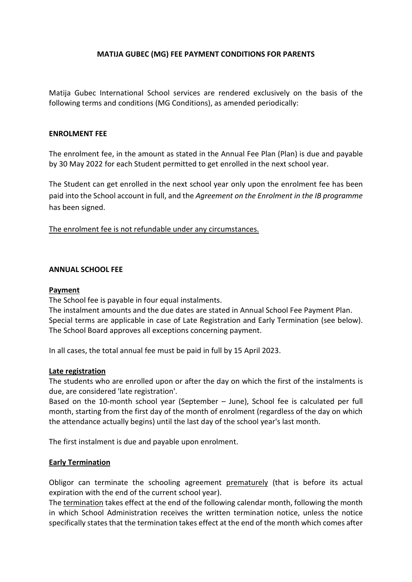### **MATIJA GUBEC (MG) FEE PAYMENT CONDITIONS FOR PARENTS**

Matija Gubec International School services are rendered exclusively on the basis of the following terms and conditions (MG Conditions), as amended periodically:

#### **ENROLMENT FEE**

The enrolment fee, in the amount as stated in the Annual Fee Plan (Plan) is due and payable by 30 May 2022 for each Student permitted to get enrolled in the next school year.

The Student can get enrolled in the next school year only upon the enrolment fee has been paid into the School account in full, and the *Agreement on the Enrolment in the IB programme* has been signed.

The enrolment fee is not refundable under any circumstances.

#### **ANNUAL SCHOOL FEE**

### **Payment**

The School fee is payable in four equal instalments.

The instalment amounts and the due dates are stated in Annual School Fee Payment Plan. Special terms are applicable in case of Late Registration and Early Termination (see below). The School Board approves all exceptions concerning payment.

In all cases, the total annual fee must be paid in full by 15 April 2023.

#### **Late registration**

The students who are enrolled upon or after the day on which the first of the instalments is due, are considered 'late registration'.

Based on the 10-month school year (September – June), School fee is calculated per full month, starting from the first day of the month of enrolment (regardless of the day on which the attendance actually begins) until the last day of the school year's last month.

The first instalment is due and payable upon enrolment.

#### **Early Termination**

Obligor can terminate the schooling agreement prematurely (that is before its actual expiration with the end of the current school year).

The termination takes effect at the end of the following calendar month, following the month in which School Administration receives the written termination notice, unless the notice specifically states that the termination takes effect at the end of the month which comes after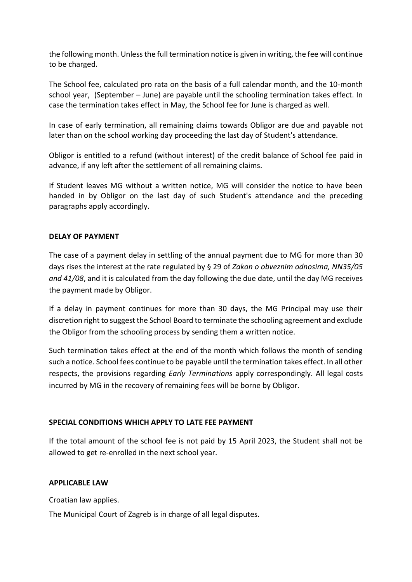the following month. Unless the full termination notice is given in writing, the fee will continue to be charged.

The School fee, calculated pro rata on the basis of a full calendar month, and the 10-month school year, (September – June) are payable until the schooling termination takes effect. In case the termination takes effect in May, the School fee for June is charged as well.

In case of early termination, all remaining claims towards Obligor are due and payable not later than on the school working day proceeding the last day of Student's attendance.

Obligor is entitled to a refund (without interest) of the credit balance of School fee paid in advance, if any left after the settlement of all remaining claims.

If Student leaves MG without a written notice, MG will consider the notice to have been handed in by Obligor on the last day of such Student's attendance and the preceding paragraphs apply accordingly.

### **DELAY OF PAYMENT**

The case of a payment delay in settling of the annual payment due to MG for more than 30 days rises the interest at the rate regulated by § 29 of *Zakon o obveznim odnosima, NN35/05 and 41/08*, and it is calculated from the day following the due date, until the day MG receives the payment made by Obligor.

If a delay in payment continues for more than 30 days, the MG Principal may use their discretion right to suggest the School Board to terminate the schooling agreement and exclude the Obligor from the schooling process by sending them a written notice.

Such termination takes effect at the end of the month which follows the month of sending such a notice. School fees continue to be payable until the termination takes effect. In all other respects, the provisions regarding *Early Terminations* apply correspondingly. All legal costs incurred by MG in the recovery of remaining fees will be borne by Obligor.

## **SPECIAL CONDITIONS WHICH APPLY TO LATE FEE PAYMENT**

If the total amount of the school fee is not paid by 15 April 2023, the Student shall not be allowed to get re-enrolled in the next school year.

#### **APPLICABLE LAW**

Croatian law applies.

The Municipal Court of Zagreb is in charge of all legal disputes.